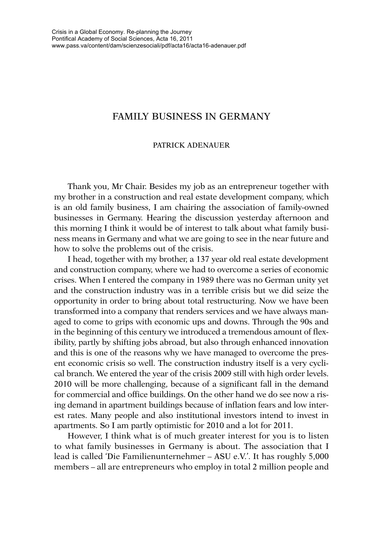## FAMILY BUSINESS IN GERMANY

## PATRICK ADENAUER

Thank you, Mr Chair. Besides my job as an entrepreneur together with my brother in a construction and real estate development company, which is an old family business, I am chairing the association of family-owned businesses in Germany. Hearing the discussion yesterday afternoon and this morning I think it would be of interest to talk about what family business means in Germany and what we are going to see in the near future and how to solve the problems out of the crisis.

I head, together with my brother, a 137 year old real estate development and construction company, where we had to overcome a series of economic crises. When I entered the company in 1989 there was no German unity yet and the construction industry was in a terrible crisis but we did seize the opportunity in order to bring about total restructuring. Now we have been transformed into a company that renders services and we have always managed to come to grips with economic ups and downs. Through the 90s and in the beginning of this century we introduced a tremendous amount of flexibility, partly by shifting jobs abroad, but also through enhanced innovation and this is one of the reasons why we have managed to overcome the present economic crisis so well. The construction industry itself is a very cyclical branch. We entered the year of the crisis 2009 still with high order levels. 2010 will be more challenging, because of a significant fall in the demand for commercial and office buildings. On the other hand we do see now a rising demand in apartment buildings because of inflation fears and low interest rates. Many people and also institutional investors intend to invest in apartments. So I am partly optimistic for 2010 and a lot for 2011.

However, I think what is of much greater interest for you is to listen to what family businesses in Germany is about. The association that I lead is called 'Die Familienunternehmer – ASU e.V.'. It has roughly 5,000 members – all are entrepreneurs who employ in total 2 million people and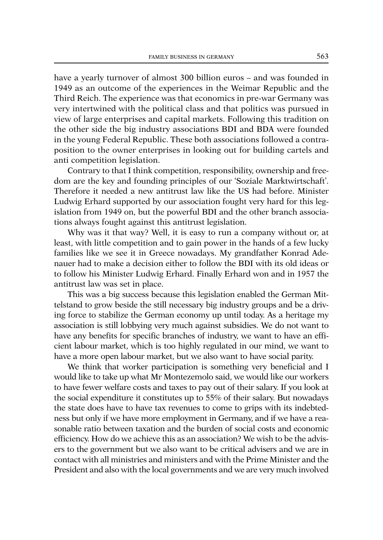have a yearly turnover of almost 300 billion euros – and was founded in 1949 as an outcome of the experiences in the Weimar Republic and the Third Reich. The experience was that economics in pre-war Germany was very intertwined with the political class and that politics was pursued in view of large enterprises and capital markets. Following this tradition on the other side the big industry associations BDI and BDA were founded in the young Federal Republic. These both associations followed a contraposition to the owner enterprises in looking out for building cartels and anti competition legislation.

Contrary to that I think competition, responsibility, ownership and freedom are the key and founding principles of our 'Soziale Marktwirtschaft'. Therefore it needed a new antitrust law like the US had before. Minister Ludwig Erhard supported by our association fought very hard for this legislation from 1949 on, but the powerful BDI and the other branch associations always fought against this antitrust legislation.

Why was it that way? Well, it is easy to run a company without or, at least, with little competition and to gain power in the hands of a few lucky families like we see it in Greece nowadays. My grandfather Konrad Adenauer had to make a decision either to follow the BDI with its old ideas or to follow his Minister Ludwig Erhard. Finally Erhard won and in 1957 the antitrust law was set in place.

This was a big success because this legislation enabled the German Mittelstand to grow beside the still necessary big industry groups and be a driving force to stabilize the German economy up until today. As a heritage my association is still lobbying very much against subsidies. We do not want to have any benefits for specific branches of industry, we want to have an efficient labour market, which is too highly regulated in our mind, we want to have a more open labour market, but we also want to have social parity.

We think that worker participation is something very beneficial and I would like to take up what Mr Montezemolo said, we would like our workers to have fewer welfare costs and taxes to pay out of their salary. If you look at the social expenditure it constitutes up to 55% of their salary. But nowadays the state does have to have tax revenues to come to grips with its indebtedness but only if we have more employment in Germany, and if we have a reasonable ratio between taxation and the burden of social costs and economic efficiency. How do we achieve this as an association? We wish to be the advisers to the government but we also want to be critical advisers and we are in contact with all ministries and ministers and with the Prime Minister and the President and also with the local governments and we are very much involved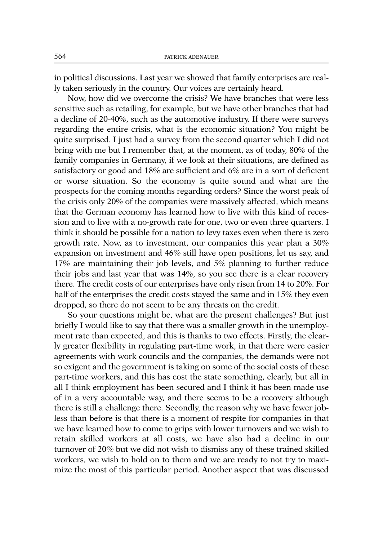in political discussions. Last year we showed that family enterprises are really taken seriously in the country. Our voices are certainly heard.

Now, how did we overcome the crisis? We have branches that were less sensitive such as retailing, for example, but we have other branches that had a decline of 20-40%, such as the automotive industry. If there were surveys regarding the entire crisis, what is the economic situation? You might be quite surprised. I just had a survey from the second quarter which I did not bring with me but I remember that, at the moment, as of today, 80% of the family companies in Germany, if we look at their situations, are defined as satisfactory or good and 18% are sufficient and 6% are in a sort of deficient or worse situation. So the economy is quite sound and what are the prospects for the coming months regarding orders? Since the worst peak of the crisis only 20% of the companies were massively affected, which means that the German economy has learned how to live with this kind of recession and to live with a no-growth rate for one, two or even three quarters. I think it should be possible for a nation to levy taxes even when there is zero growth rate. Now, as to investment, our companies this year plan a 30% expansion on investment and 46% still have open positions, let us say, and 17% are maintaining their job levels, and 5% planning to further reduce their jobs and last year that was 14%, so you see there is a clear recovery there. The credit costs of our enterprises have only risen from 14 to 20%. For half of the enterprises the credit costs stayed the same and in 15% they even dropped, so there do not seem to be any threats on the credit.

So your questions might be, what are the present challenges? But just briefly I would like to say that there was a smaller growth in the unemployment rate than expected, and this is thanks to two effects. Firstly, the clearly greater flexibility in regulating part-time work, in that there were easier agreements with work councils and the companies, the demands were not so exigent and the government is taking on some of the social costs of these part-time workers, and this has cost the state something, clearly, but all in all I think employment has been secured and I think it has been made use of in a very accountable way, and there seems to be a recovery although there is still a challenge there. Secondly, the reason why we have fewer jobless than before is that there is a moment of respite for companies in that we have learned how to come to grips with lower turnovers and we wish to retain skilled workers at all costs, we have also had a decline in our turnover of 20% but we did not wish to dismiss any of these trained skilled workers, we wish to hold on to them and we are ready to not try to maximize the most of this particular period. Another aspect that was discussed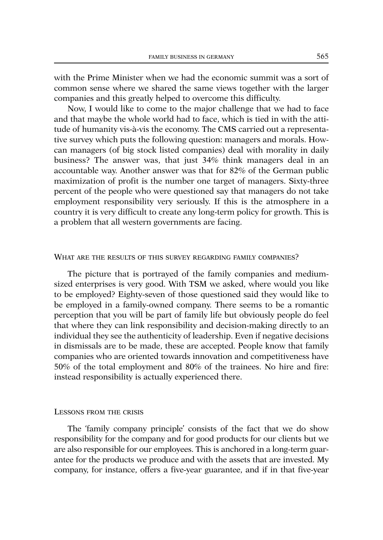with the Prime Minister when we had the economic summit was a sort of common sense where we shared the same views together with the larger companies and this greatly helped to overcome this difficulty.

Now, I would like to come to the major challenge that we had to face and that maybe the whole world had to face, which is tied in with the attitude of humanity vis-à-vis the economy. The CMS carried out a representative survey which puts the following question: managers and morals. Howcan managers (of big stock listed companies) deal with morality in daily business? The answer was, that just 34% think managers deal in an accountable way. Another answer was that for 82% of the German public maximization of profit is the number one target of managers. Sixty-three percent of the people who were questioned say that managers do not take employment responsibility very seriously. If this is the atmosphere in a country it is very difficult to create any long-term policy for growth. This is a problem that all western governments are facing.

## WHAT ARE THE RESULTS OF THIS SURVEY REGARDING FAMILY COMPANIES?

The picture that is portrayed of the family companies and mediumsized enterprises is very good. With TSM we asked, where would you like to be employed? Eighty-seven of those questioned said they would like to be employed in a family-owned company. There seems to be a romantic perception that you will be part of family life but obviously people do feel that where they can link responsibility and decision-making directly to an individual they see the authenticity of leadership. Even if negative decisions in dismissals are to be made, these are accepted. People know that family companies who are oriented towards innovation and competitiveness have 50% of the total employment and 80% of the trainees. No hire and fire: instead responsibility is actually experienced there.

## LESSONS FROM THE CRISIS

The 'family company principle' consists of the fact that we do show responsibility for the company and for good products for our clients but we are also responsible for our employees. This is anchored in a long-term guarantee for the products we produce and with the assets that are invested. My company, for instance, offers a five-year guarantee, and if in that five-year